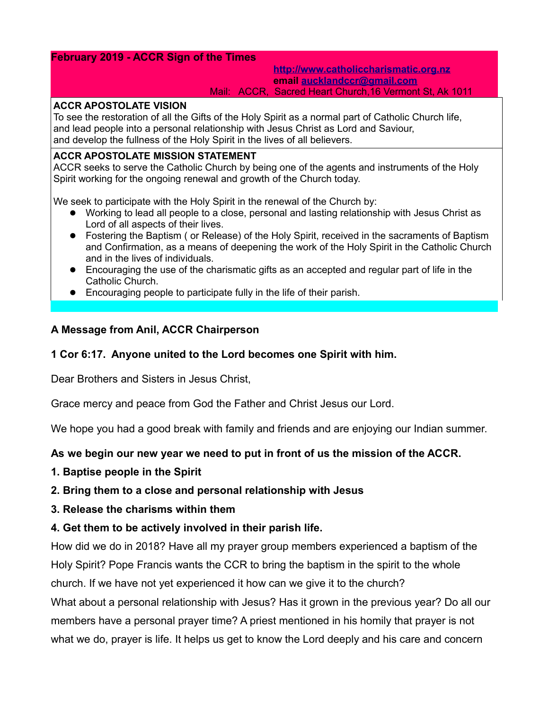# **February 2019 - ACCR Sign of the Times**

#### **[http://www.catholiccharismatic.org.nz](http://www.catholiccharismatic.org.nz/)  email [aucklandccr@gmail.com](mailto:aucklandccr@gmail.com)** Mail: ACCR, Sacred Heart Church,16 Vermont St, Ak 1011

### **ACCR APOSTOLATE VISION**

To see the restoration of all the Gifts of the Holy Spirit as a normal part of Catholic Church life, and lead people into a personal relationship with Jesus Christ as Lord and Saviour, and develop the fullness of the Holy Spirit in the lives of all believers.

### **ACCR APOSTOLATE MISSION STATEMENT**

ACCR seeks to serve the Catholic Church by being one of the agents and instruments of the Holy Spirit working for the ongoing renewal and growth of the Church today.

We seek to participate with the Holy Spirit in the renewal of the Church by:

- Working to lead all people to a close, personal and lasting relationship with Jesus Christ as Lord of all aspects of their lives.
- Fostering the Baptism ( or Release) of the Holy Spirit, received in the sacraments of Baptism and Confirmation, as a means of deepening the work of the Holy Spirit in the Catholic Church and in the lives of individuals.
- Encouraging the use of the charismatic gifts as an accepted and regular part of life in the Catholic Church.
- Encouraging people to participate fully in the life of their parish.

# **A Message from Anil, ACCR Chairperson**

# **1 Cor 6:17. Anyone united to the Lord becomes one Spirit with him.**

Dear Brothers and Sisters in Jesus Christ,

Grace mercy and peace from God the Father and Christ Jesus our Lord.

We hope you had a good break with family and friends and are enjoying our Indian summer.

# **As we begin our new year we need to put in front of us the mission of the ACCR.**

**1. Baptise people in the Spirit**

# **2. Bring them to a close and personal relationship with Jesus**

**3. Release the charisms within them**

# **4. Get them to be actively involved in their parish life.**

How did we do in 2018? Have all my prayer group members experienced a baptism of the Holy Spirit? Pope Francis wants the CCR to bring the baptism in the spirit to the whole church. If we have not yet experienced it how can we give it to the church?

What about a personal relationship with Jesus? Has it grown in the previous year? Do all our members have a personal prayer time? A priest mentioned in his homily that prayer is not what we do, prayer is life. It helps us get to know the Lord deeply and his care and concern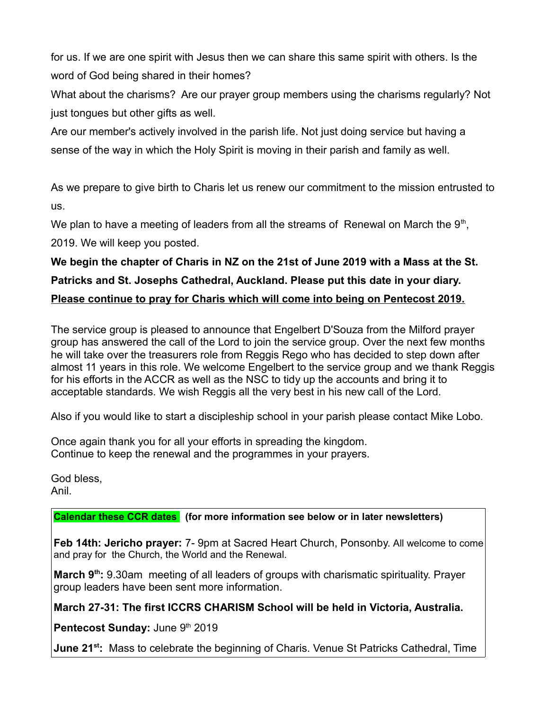for us. If we are one spirit with Jesus then we can share this same spirit with others. Is the word of God being shared in their homes?

What about the charisms? Are our prayer group members using the charisms regularly? Not just tongues but other gifts as well.

Are our member's actively involved in the parish life. Not just doing service but having a sense of the way in which the Holy Spirit is moving in their parish and family as well.

As we prepare to give birth to Charis let us renew our commitment to the mission entrusted to us.

We plan to have a meeting of leaders from all the streams of Renewal on March the  $9<sup>th</sup>$ , 2019. We will keep you posted.

# **We begin the chapter of Charis in NZ on the 21st of June 2019 with a Mass at the St. Patricks and St. Josephs Cathedral, Auckland. Please put this date in your diary. Please continue to pray for Charis which will come into being on Pentecost 2019.**

The service group is pleased to announce that Engelbert D'Souza from the Milford prayer group has answered the call of the Lord to join the service group. Over the next few months he will take over the treasurers role from Reggis Rego who has decided to step down after almost 11 years in this role. We welcome Engelbert to the service group and we thank Reggis for his efforts in the ACCR as well as the NSC to tidy up the accounts and bring it to acceptable standards. We wish Reggis all the very best in his new call of the Lord.

Also if you would like to start a discipleship school in your parish please contact Mike Lobo.

Once again thank you for all your efforts in spreading the kingdom. Continue to keep the renewal and the programmes in your prayers.

God bless, Anil.

# **Calendar these CCR dates (for more information see below or in later newsletters)**

**Feb 14th: Jericho prayer:** 7- 9pm at Sacred Heart Church, Ponsonby. All welcome to come and pray for the Church, the World and the Renewal.

**March 9th:** 9.30am meeting of all leaders of groups with charismatic spirituality. Prayer group leaders have been sent more information.

**March 27-31: The first ICCRS CHARISM School will be held in Victoria, Australia.**

**Pentecost Sunday:** June 9th 2019

**June 21st:** Mass to celebrate the beginning of Charis. Venue St Patricks Cathedral, Time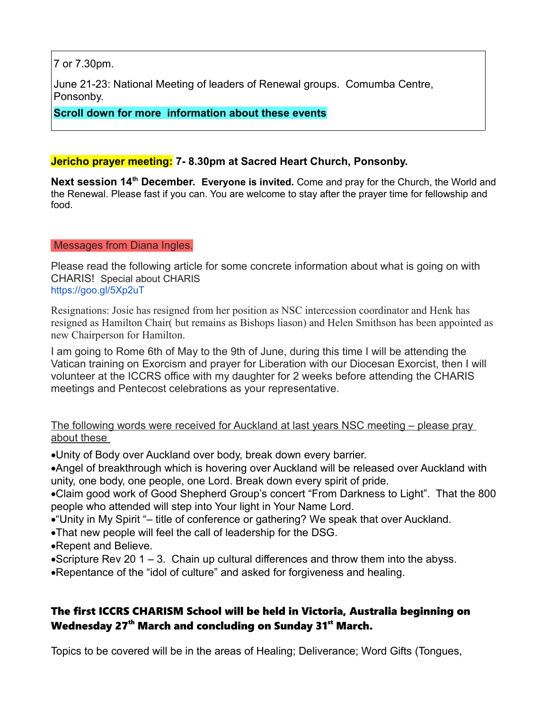7 or 7.30pm.

June 21-23: National Meeting of leaders of Renewal groups. Comumba Centre, Ponsonby.

**Scroll down for more information about these events**

# **Jericho prayer meeting: 7- 8.30pm at Sacred Heart Church, Ponsonby.**

**Next session 14th December. Everyone is invited.** Come and pray for the Church, the World and the Renewal. Please fast if you can. You are welcome to stay after the prayer time for fellowship and food.

# Messages from Diana Ingles.

Please read the following article for some concrete information about what is going on with CHARIS! Special about CHARIS <https://goo.gl/5Xp2uT>

Resignations: Josie has resigned from her position as NSC intercession coordinator and Henk has resigned as Hamilton Chair( but remains as Bishops liason) and Helen Smithson has been appointed as new Chairperson for Hamilton.

I am going to Rome 6th of May to the 9th of June, during this time I will be attending the Vatican training on Exorcism and prayer for Liberation with our Diocesan Exorcist, then I will volunteer at the ICCRS office with my daughter for 2 weeks before attending the CHARIS meetings and Pentecost celebrations as your representative.

The following words were received for Auckland at last years NSC meeting – please pray about these

·Unity of Body over Auckland over body, break down every barrier.

·Angel of breakthrough which is hovering over Auckland will be released over Auckland with unity, one body, one people, one Lord. Break down every spirit of pride.

·Claim good work of Good Shepherd Group's concert "From Darkness to Light". That the 800 people who attended will step into Your light in Your Name Lord.

- ·"Unity in My Spirit "– title of conference or gathering? We speak that over Auckland.
- ·That new people will feel the call of leadership for the DSG.
- ·Repent and Believe.

 $\bullet$ Scripture Rev 20 1 – 3. Chain up cultural differences and throw them into the abyss.

·Repentance of the "idol of culture" and asked for forgiveness and healing.

# The first ICCRS CHARISM School will be held in Victoria, Australia beginning on Wednesday 27<sup>th</sup> March and concluding on Sunday 31 $^{\rm st}$  March.

Topics to be covered will be in the areas of Healing; Deliverance; Word Gifts (Tongues,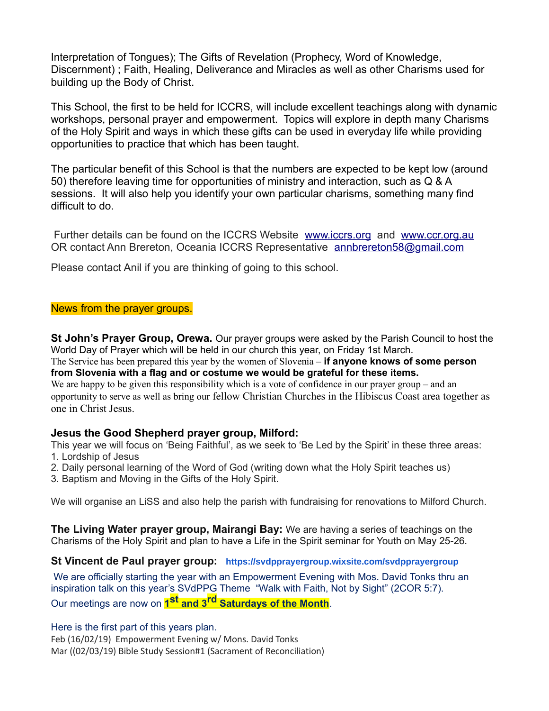Interpretation of Tongues); The Gifts of Revelation (Prophecy, Word of Knowledge, Discernment) ; Faith, Healing, Deliverance and Miracles as well as other Charisms used for building up the Body of Christ.

This School, the first to be held for ICCRS, will include excellent teachings along with dynamic workshops, personal prayer and empowerment. Topics will explore in depth many Charisms of the Holy Spirit and ways in which these gifts can be used in everyday life while providing opportunities to practice that which has been taught.

The particular benefit of this School is that the numbers are expected to be kept low (around 50) therefore leaving time for opportunities of ministry and interaction, such as Q & A sessions. It will also help you identify your own particular charisms, something many find difficult to do.

 Further details can be found on the ICCRS Website [www.iccrs.org](http://www.iccrs.org/) and [www.ccr.org.au](http://www.ccr.org.au/)  OR contact Ann Brereton, Oceania ICCRS Representative annbrereton58@gmail.com

Please contact Anil if you are thinking of going to this school.

### News from the prayer groups.

**St John's Prayer Group, Orewa.** Our prayer groups were asked by the Parish Council to host the World Day of Prayer which will be held in our church this year, on Friday 1st March.

The Service has been prepared this year by the women of Slovenia – **if anyone knows of some person from Slovenia with a flag and or costume we would be grateful for these items.**

We are happy to be given this responsibility which is a vote of confidence in our prayer group – and an opportunity to serve as well as bring our fellow Christian Churches in the Hibiscus Coast area together as one in Christ Jesus.

# **Jesus the Good Shepherd prayer group, Milford:**

This year we will focus on 'Being Faithful', as we seek to 'Be Led by the Spirit' in these three areas: 1. Lordship of Jesus

- 2. Daily personal learning of the Word of God (writing down what the Holy Spirit teaches us)
- 3. Baptism and Moving in the Gifts of the Holy Spirit.

We will organise an LiSS and also help the parish with fundraising for renovations to Milford Church.

**The Living Water prayer group, Mairangi Bay:** We are having a series of teachings on the Charisms of the Holy Spirit and plan to have a Life in the Spirit seminar for Youth on May 25-26.

### **St Vincent de Paul prayer group: <https://svdpprayergroup.wixsite.com/svdpprayergroup>**

We are officially starting the year with an Empowerment Evening with Mos. David Tonks thru an inspiration talk on this year's SVdPPG Theme "Walk with Faith, Not by Sight" (2COR 5:7). Our meetings are now on **1 st and 3rd Saturdays of the Month**.

Here is the first part of this years plan. Feb (16/02/19) Empowerment Evening w/ Mons. David Tonks Mar ((02/03/19) Bible Study Session#1 (Sacrament of Reconciliation)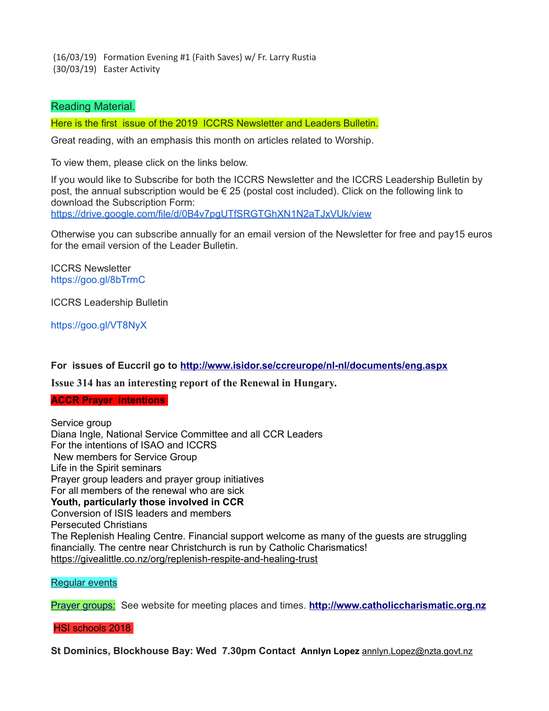(16/03/19) Formation Evening #1 (Faith Saves) w/ Fr. Larry Rustia (30/03/19) Easter Activity

### Reading Material.

Here is the first issue of the 2019 ICCRS Newsletter and Leaders Bulletin.

Great reading, with an emphasis this month on articles related to Worship.

To view them, please click on the links below.

If you would like to Subscribe for both the ICCRS Newsletter and the ICCRS Leadership Bulletin by post, the annual subscription would be € 25 (postal cost included). Click on the following link to download the Subscription Form: <https://drive.google.com/file/d/0B4v7pgUTfSRGTGhXN1N2aTJxVUk/view>

Otherwise you can subscribe annually for an email version of the Newsletter for free and pay15 euros for the email version of the Leader Bulletin.

ICCRS Newsletter <https://goo.gl/8bTrmC>

ICCRS Leadership Bulletin

<https://goo.gl/VT8NyX>

**For issues of Euccril go to<http://www.isidor.se/ccreurope/nl-nl/documents/eng.aspx>**

**Issue 314 has an interesting report of the Renewal in Hungary.**

**ACCR Prayer intentions** 

Service group Diana Ingle, National Service Committee and all CCR Leaders For the intentions of ISAO and ICCRS New members for Service Group Life in the Spirit seminars Prayer group leaders and prayer group initiatives For all members of the renewal who are sick **Youth, particularly those involved in CCR**  Conversion of ISIS leaders and members Persecuted Christians The Replenish Healing Centre. Financial support welcome as many of the guests are struggling financially. The centre near Christchurch is run by Catholic Charismatics! <https://givealittle.co.nz/org/replenish-respite-and-healing-trust>

Regular events

Prayer groups: See website for meeting places and times. **[http://www.catholiccharismatic.org.nz](http://www.catholiccharismatic.org.nz/)**

HSI schools 2018

**St Dominics, Blockhouse Bay: Wed 7.30pm Contact Annlyn Lopez** [annlyn.Lopez@nzta.govt.nz](mailto:annlyn.Lopez@nzta.govt.nz)